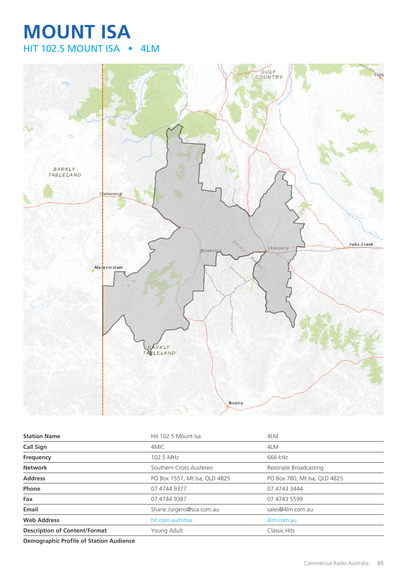## **MOUNT ISA** HIT 102.5 MOUNT ISA • 4LM



| <b>Station Name</b>                  | Hit 102.5 Mount Isa           | 4LM                          |
|--------------------------------------|-------------------------------|------------------------------|
| <b>Call Sign</b>                     | 4MIC                          | 4LM                          |
| Frequency                            | 102.5 MHz                     | 666 kHz                      |
| <b>Network</b>                       | Southern Cross Austereo       | Resonate Broadcasting        |
| <b>Address</b>                       | PO Box 1557, Mt Isa, QLD 4825 | PO Box 780, Mt Isa, QLD 4825 |
| Phone                                | 07 4744 9377                  | 07 4743 3444                 |
| Fax                                  | 07 4744 9387                  | 07 4743 5599                 |
| Email                                | Shane.Jurgens@sca.com.au      | sales@4lm.com.au             |
| <b>Web Address</b>                   | hit.com.au/mtisa              | 4m.com.au                    |
| <b>Description of Content/Format</b> | Young Adult                   | Classic Hits                 |
|                                      |                               |                              |

**Demographic Profile of Station Audience**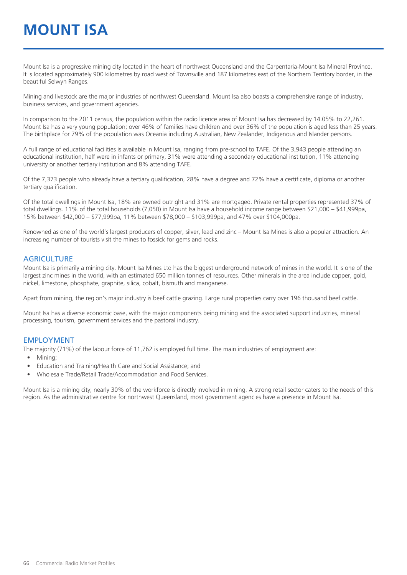# **MOUNT ISA**

Mount Isa is a progressive mining city located in the heart of northwest Queensland and the Carpentaria-Mount Isa Mineral Province. It is located approximately 900 kilometres by road west of Townsville and 187 kilometres east of the Northern Territory border, in the beautiful Selwyn Ranges.

Mining and livestock are the major industries of northwest Queensland. Mount Isa also boasts a comprehensive range of industry, business services, and government agencies.

In comparison to the 2011 census, the population within the radio licence area of Mount Isa has decreased by 14.05% to 22,261. Mount Isa has a very young population; over 46% of families have children and over 36% of the population is aged less than 25 years. The birthplace for 79% of the population was Oceania including Australian, New Zealander, Indigenous and Islander persons.

A full range of educational facilities is available in Mount Isa, ranging from pre-school to TAFE. Of the 3,943 people attending an educational institution, half were in infants or primary, 31% were attending a secondary educational institution, 11% attending university or another tertiary institution and 8% attending TAFE.

Of the 7,373 people who already have a tertiary qualification, 28% have a degree and 72% have a certificate, diploma or another tertiary qualification.

Of the total dwellings in Mount Isa, 18% are owned outright and 31% are mortgaged. Private rental properties represented 37% of total dwellings. 11% of the total households (7,050) in Mount Isa have a household income range between \$21,000 – \$41,999pa, 15% between \$42,000 – \$77,999pa, 11% between \$78,000 – \$103,999pa, and 47% over \$104,000pa.

Renowned as one of the world's largest producers of copper, silver, lead and zinc – Mount Isa Mines is also a popular attraction. An increasing number of tourists visit the mines to fossick for gems and rocks.

#### **AGRICULTURE**

Mount Isa is primarily a mining city. Mount Isa Mines Ltd has the biggest underground network of mines in the world. It is one of the largest zinc mines in the world, with an estimated 650 million tonnes of resources. Other minerals in the area include copper, gold, nickel, limestone, phosphate, graphite, silica, cobalt, bismuth and manganese.

Apart from mining, the region's major industry is beef cattle grazing. Large rural properties carry over 196 thousand beef cattle.

Mount Isa has a diverse economic base, with the major components being mining and the associated support industries, mineral processing, tourism, government services and the pastoral industry.

#### EMPLOYMENT

The majority (71%) of the labour force of 11,762 is employed full time. The main industries of employment are:

- Mining;
- Education and Training/Health Care and Social Assistance; and
- Wholesale Trade/Retail Trade/Accommodation and Food Services.

Mount Isa is a mining city; nearly 30% of the workforce is directly involved in mining. A strong retail sector caters to the needs of this region. As the administrative centre for northwest Queensland, most government agencies have a presence in Mount Isa.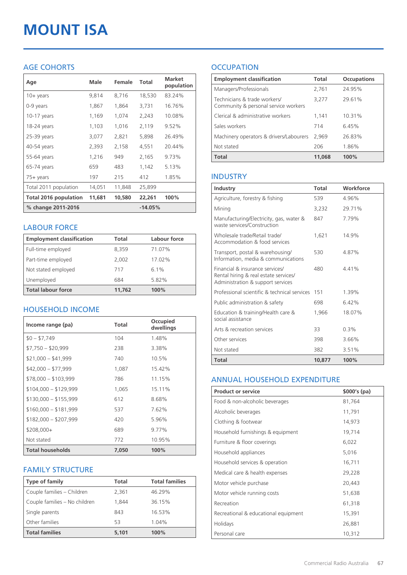# **MOUNT ISA**

#### AGE COHORTS

| Age                   | Male   | Female | Total     | <b>Market</b><br>population |
|-----------------------|--------|--------|-----------|-----------------------------|
| $10 + \gamma$ ears    | 9,814  | 8,716  | 18,530    | 83.24%                      |
| 0-9 years             | 1,867  | 1,864  | 3,731     | 16.76%                      |
| $10-17$ years         | 1,169  | 1,074  | 2,243     | 10.08%                      |
| 18-24 years           | 1,103  | 1,016  | 2,119     | 9.52%                       |
| 25-39 years           | 3,077  | 2,821  | 5,898     | 26.49%                      |
| 40-54 years           | 2,393  | 2,158  | 4,551     | 20.44%                      |
| 55-64 years           | 1,216  | 949    | 2,165     | 9.73%                       |
| 65-74 years           | 659    | 483    | 1,142     | 5.13%                       |
| 75+ years             | 197    | 215    | 412       | 1.85%                       |
| Total 2011 population | 14,051 | 11,848 | 25,899    |                             |
| Total 2016 population | 11,681 | 10,580 | 22,261    | 100%                        |
| % change 2011-2016    |        |        | $-14.05%$ |                             |

#### LABOUR FORCE

| <b>Employment classification</b> | Total  | Labour force |
|----------------------------------|--------|--------------|
| Full-time employed               | 8,359  | 71.07%       |
| Part-time employed               | 2,002  | 17.02%       |
| Not stated employed              | 717    | $6.1\%$      |
| Unemployed                       | 684    | 5.82%        |
| <b>Total labour force</b>        | 11,762 | 100%         |

#### HOUSEHOLD INCOME

| Income range (pa)       | <b>Total</b> | Occupied<br>dwellings |
|-------------------------|--------------|-----------------------|
| $$0 - $7,749$           | 104          | 1.48%                 |
| $$7,750 - $20,999$      | 238          | 3.38%                 |
| $$21,000 - $41,999$     | 740          | 10.5%                 |
| $$42,000 - $77,999$     | 1,087        | 15.42%                |
| $$78,000 - $103,999$    | 786          | 11.15%                |
| $$104,000 - $129,999$   | 1,065        | 15.11%                |
| $$130,000 - $155,999$   | 612          | 8.68%                 |
| $$160,000 - $181,999$   | 537          | 7.62%                 |
| $$182,000 - $207,999$   | 420          | 5.96%                 |
| $$208,000+$             | 689          | 9.77%                 |
| Not stated              | 772          | 10.95%                |
| <b>Total households</b> | 7,050        | 100%                  |

#### FAMILY STRUCTURE

| <b>Type of family</b>         | <b>Total</b> | <b>Total families</b> |
|-------------------------------|--------------|-----------------------|
| Couple families - Children    | 2,361        | 46.29%                |
| Couple families - No children | 1.844        | 36.15%                |
| Single parents                | 843          | 16.53%                |
| Other families                | 53           | 1.04%                 |
| <b>Total families</b>         | 5,101        | 100%                  |

### **OCCUPATION**

| <b>Employment classification</b>                                     | Total  | <b>Occupations</b> |
|----------------------------------------------------------------------|--------|--------------------|
| Managers/Professionals                                               | 2,761  | 24.95%             |
| Technicians & trade workers/<br>Community & personal service workers | 3,277  | 29.61%             |
| Clerical & administrative workers                                    | 1.141  | 10.31%             |
| Sales workers                                                        | 714    | 6.45%              |
| Machinery operators & drivers/Labourers                              | 2.969  | 26.83%             |
| Not stated                                                           | 206    | 1.86%              |
| <b>Total</b>                                                         | 11,068 | 100%               |

#### INDUSTRY

| Industry                                                                                                      | Total  | Workforce |
|---------------------------------------------------------------------------------------------------------------|--------|-----------|
| Agriculture, forestry & fishing                                                                               | 539    | 4.96%     |
| Mining                                                                                                        | 3,232  | 29.71%    |
| Manufacturing/Electricity, gas, water &<br>waste services/Construction                                        | 847    | 7.79%     |
| Wholesale trade/Retail trade/<br>Accommodation & food services                                                | 1.621  | 14.9%     |
| Transport, postal & warehousing/<br>Information, media & communications                                       | 530    | 4.87%     |
| Financial & insurance services/<br>Rental hiring & real estate services/<br>Administration & support services | 480    | 441%      |
| Professional scientific & technical services                                                                  | 151    | 1.39%     |
| Public administration & safety                                                                                | 698    | 6.42%     |
| Education & training/Health care &<br>social assistance                                                       | 1.966  | 18.07%    |
| Arts & recreation services                                                                                    | 33     | 0.3%      |
| Other services                                                                                                | 398    | 3.66%     |
| Not stated                                                                                                    | 382    | 3.51%     |
| Total                                                                                                         | 10,877 | 100%      |

#### ANNUAL HOUSEHOLD EXPENDITURE

| <b>Product or service</b>            | $$000's$ (pa) |
|--------------------------------------|---------------|
| Food & non-alcoholic beverages       | 81,764        |
| Alcoholic beverages                  | 11,791        |
| Clothing & footwear                  | 14,973        |
| Household furnishings & equipment    | 19,714        |
| Furniture & floor coverings          | 6,022         |
| Household appliances                 | 5,016         |
| Household services & operation       | 16,711        |
| Medical care & health expenses       | 29,228        |
| Motor vehicle purchase               | 20,443        |
| Motor vehicle running costs          | 51,638        |
| Recreation                           | 61,318        |
| Recreational & educational equipment | 15,391        |
| Holidays                             | 26,881        |
| Personal care                        | 10,312        |